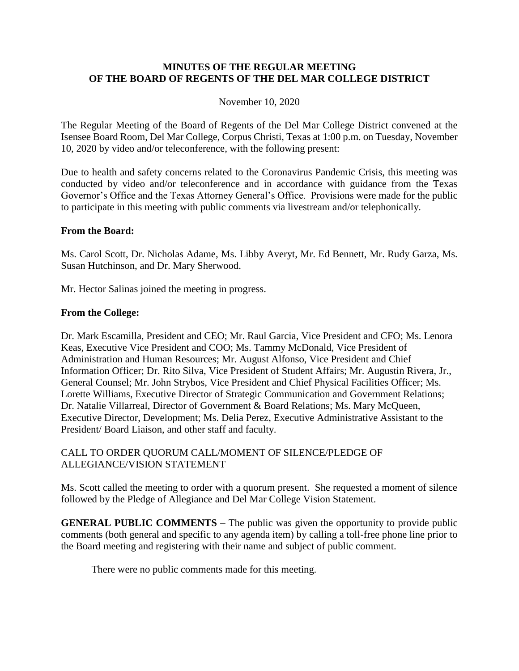### **MINUTES OF THE REGULAR MEETING OF THE BOARD OF REGENTS OF THE DEL MAR COLLEGE DISTRICT**

#### November 10, 2020

The Regular Meeting of the Board of Regents of the Del Mar College District convened at the Isensee Board Room, Del Mar College, Corpus Christi, Texas at 1:00 p.m. on Tuesday, November 10, 2020 by video and/or teleconference, with the following present:

Due to health and safety concerns related to the Coronavirus Pandemic Crisis, this meeting was conducted by video and/or teleconference and in accordance with guidance from the Texas Governor's Office and the Texas Attorney General's Office. Provisions were made for the public to participate in this meeting with public comments via livestream and/or telephonically.

#### **From the Board:**

Ms. Carol Scott, Dr. Nicholas Adame, Ms. Libby Averyt, Mr. Ed Bennett, Mr. Rudy Garza, Ms. Susan Hutchinson, and Dr. Mary Sherwood.

Mr. Hector Salinas joined the meeting in progress.

#### **From the College:**

Dr. Mark Escamilla, President and CEO; Mr. Raul Garcia, Vice President and CFO; Ms. Lenora Keas, Executive Vice President and COO; Ms. Tammy McDonald, Vice President of Administration and Human Resources; Mr. August Alfonso, Vice President and Chief Information Officer; Dr. Rito Silva, Vice President of Student Affairs; Mr. Augustin Rivera, Jr., General Counsel; Mr. John Strybos, Vice President and Chief Physical Facilities Officer; Ms. Lorette Williams, Executive Director of Strategic Communication and Government Relations; Dr. Natalie Villarreal, Director of Government & Board Relations; Ms. Mary McQueen, Executive Director, Development; Ms. Delia Perez, Executive Administrative Assistant to the President/ Board Liaison, and other staff and faculty.

### CALL TO ORDER QUORUM CALL/MOMENT OF SILENCE/PLEDGE OF ALLEGIANCE/VISION STATEMENT

Ms. Scott called the meeting to order with a quorum present. She requested a moment of silence followed by the Pledge of Allegiance and Del Mar College Vision Statement.

**GENERAL PUBLIC COMMENTS** – The public was given the opportunity to provide public comments (both general and specific to any agenda item) by calling a toll-free phone line prior to the Board meeting and registering with their name and subject of public comment.

There were no public comments made for this meeting.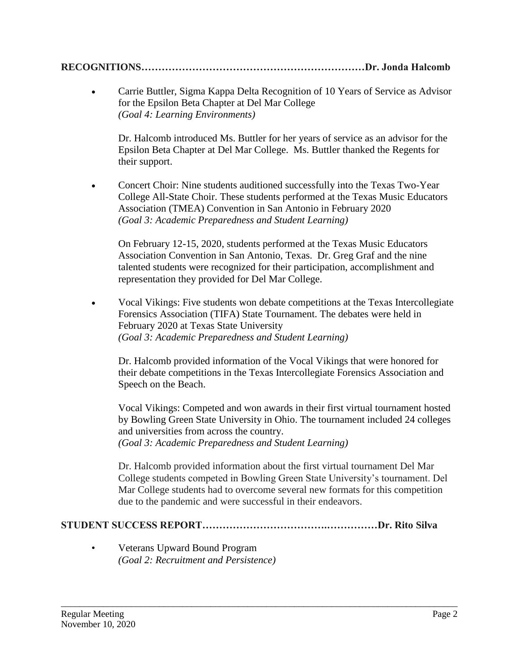# **RECOGNITIONS…………………………………………………………Dr. Jonda Halcomb**

 Carrie Buttler, Sigma Kappa Delta Recognition of 10 Years of Service as Advisor for the Epsilon Beta Chapter at Del Mar College *(Goal 4: Learning Environments)* 

Dr. Halcomb introduced Ms. Buttler for her years of service as an advisor for the Epsilon Beta Chapter at Del Mar College. Ms. Buttler thanked the Regents for their support.

 Concert Choir: Nine students auditioned successfully into the Texas Two-Year College All-State Choir. These students performed at the Texas Music Educators Association (TMEA) Convention in San Antonio in February 2020 *(Goal 3: Academic Preparedness and Student Learning)* 

On February 12-15, 2020, students performed at the Texas Music Educators Association Convention in San Antonio, Texas. Dr. Greg Graf and the nine talented students were recognized for their participation, accomplishment and representation they provided for Del Mar College.

 Vocal Vikings: Five students won debate competitions at the Texas Intercollegiate Forensics Association (TIFA) State Tournament. The debates were held in February 2020 at Texas State University *(Goal 3: Academic Preparedness and Student Learning)*

Dr. Halcomb provided information of the Vocal Vikings that were honored for their debate competitions in the Texas Intercollegiate Forensics Association and Speech on the Beach.

Vocal Vikings: Competed and won awards in their first virtual tournament hosted by Bowling Green State University in Ohio. The tournament included 24 colleges and universities from across the country.

*(Goal 3: Academic Preparedness and Student Learning)* 

Dr. Halcomb provided information about the first virtual tournament Del Mar College students competed in Bowling Green State University's tournament. Del Mar College students had to overcome several new formats for this competition due to the pandemic and were successful in their endeavors.

# **STUDENT SUCCESS REPORT……………………………….……………Dr. Rito Silva**

\_\_\_\_\_\_\_\_\_\_\_\_\_\_\_\_\_\_\_\_\_\_\_\_\_\_\_\_\_\_\_\_\_\_\_\_\_\_\_\_\_\_\_\_\_\_\_\_\_\_\_\_\_\_\_\_\_\_\_\_\_\_\_\_\_\_\_\_\_\_\_\_\_\_\_\_\_\_\_\_\_\_\_\_\_

• Veterans Upward Bound Program *(Goal 2: Recruitment and Persistence)*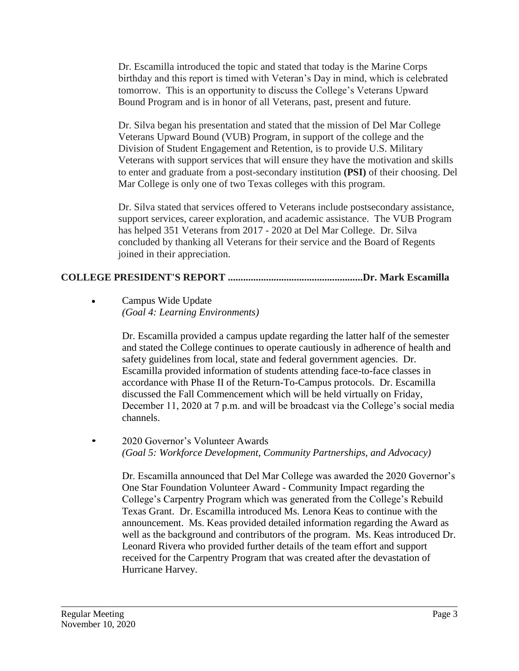Dr. Escamilla introduced the topic and stated that today is the Marine Corps birthday and this report is timed with Veteran's Day in mind, which is celebrated tomorrow. This is an opportunity to discuss the College's Veterans Upward Bound Program and is in honor of all Veterans, past, present and future.

Dr. Silva began his presentation and stated that the mission of Del Mar College Veterans Upward Bound (VUB) Program, in support of the college and the Division of Student Engagement and Retention, is to provide U.S. Military Veterans with support services that will ensure they have the motivation and skills to enter and graduate from a post-secondary institution **(PSI)** of their choosing. Del Mar College is only one of two Texas colleges with this program.

Dr. Silva stated that services offered to Veterans include postsecondary assistance, support services, career exploration, and academic assistance. The VUB Program has helped 351 Veterans from 2017 - 2020 at Del Mar College. Dr. Silva concluded by thanking all Veterans for their service and the Board of Regents joined in their appreciation.

## **COLLEGE PRESIDENT'S REPORT .....................................................Dr. Mark Escamilla**

 Campus Wide Update *(Goal 4: Learning Environments)* 

> Dr. Escamilla provided a campus update regarding the latter half of the semester and stated the College continues to operate cautiously in adherence of health and safety guidelines from local, state and federal government agencies. Dr. Escamilla provided information of students attending face-to-face classes in accordance with Phase II of the Return-To-Campus protocols. Dr. Escamilla discussed the Fall Commencement which will be held virtually on Friday, December 11, 2020 at 7 p.m. and will be broadcast via the College's social media channels.

• 2020 Governor's Volunteer Awards *(Goal 5: Workforce Development, Community Partnerships, and Advocacy)*

\_\_\_\_\_\_\_\_\_\_\_\_\_\_\_\_\_\_\_\_\_\_\_\_\_\_\_\_\_\_\_\_\_\_\_\_\_\_\_\_\_\_\_\_\_\_\_\_\_\_\_\_\_\_\_\_\_\_\_\_\_\_\_\_\_\_\_\_\_\_\_\_\_\_\_\_\_\_\_\_\_\_\_\_\_

Dr. Escamilla announced that Del Mar College was awarded the 2020 Governor's One Star Foundation Volunteer Award - Community Impact regarding the College's Carpentry Program which was generated from the College's Rebuild Texas Grant. Dr. Escamilla introduced Ms. Lenora Keas to continue with the announcement. Ms. Keas provided detailed information regarding the Award as well as the background and contributors of the program. Ms. Keas introduced Dr. Leonard Rivera who provided further details of the team effort and support received for the Carpentry Program that was created after the devastation of Hurricane Harvey.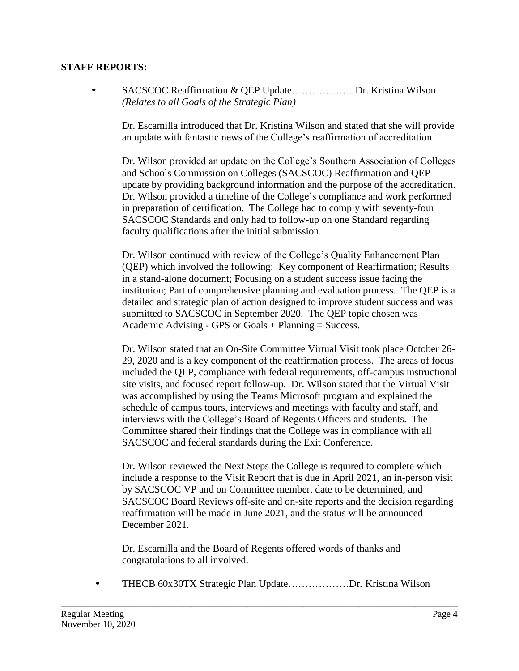## **STAFF REPORTS:**

• SACSCOC Reaffirmation & QEP Update……………….Dr. Kristina Wilson *(Relates to all Goals of the Strategic Plan)*

Dr. Escamilla introduced that Dr. Kristina Wilson and stated that she will provide an update with fantastic news of the College's reaffirmation of accreditation

Dr. Wilson provided an update on the College's Southern Association of Colleges and Schools Commission on Colleges (SACSCOC) Reaffirmation and QEP update by providing background information and the purpose of the accreditation. Dr. Wilson provided a timeline of the College's compliance and work performed in preparation of certification. The College had to comply with seventy-four SACSCOC Standards and only had to follow-up on one Standard regarding faculty qualifications after the initial submission.

Dr. Wilson continued with review of the College's Quality Enhancement Plan (QEP) which involved the following: Key component of Reaffirmation; Results in a stand-alone document; Focusing on a student success issue facing the institution; Part of comprehensive planning and evaluation process. The QEP is a detailed and strategic plan of action designed to improve student success and was submitted to SACSCOC in September 2020. The QEP topic chosen was Academic Advising - GPS or Goals + Planning = Success.

Dr. Wilson stated that an On-Site Committee Virtual Visit took place October 26- 29, 2020 and is a key component of the reaffirmation process. The areas of focus included the QEP, compliance with federal requirements, off-campus instructional site visits, and focused report follow-up. Dr. Wilson stated that the Virtual Visit was accomplished by using the Teams Microsoft program and explained the schedule of campus tours, interviews and meetings with faculty and staff, and interviews with the College's Board of Regents Officers and students. The Committee shared their findings that the College was in compliance with all SACSCOC and federal standards during the Exit Conference.

Dr. Wilson reviewed the Next Steps the College is required to complete which include a response to the Visit Report that is due in April 2021, an in-person visit by SACSCOC VP and on Committee member, date to be determined, and SACSCOC Board Reviews off-site and on-site reports and the decision regarding reaffirmation will be made in June 2021, and the status will be announced December 2021.

Dr. Escamilla and the Board of Regents offered words of thanks and congratulations to all involved.

• THECB 60x30TX Strategic Plan Update………………Dr. Kristina Wilson

\_\_\_\_\_\_\_\_\_\_\_\_\_\_\_\_\_\_\_\_\_\_\_\_\_\_\_\_\_\_\_\_\_\_\_\_\_\_\_\_\_\_\_\_\_\_\_\_\_\_\_\_\_\_\_\_\_\_\_\_\_\_\_\_\_\_\_\_\_\_\_\_\_\_\_\_\_\_\_\_\_\_\_\_\_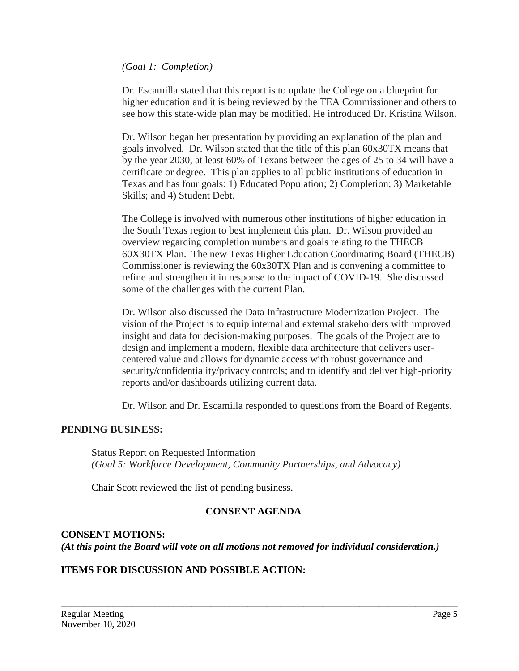### *(Goal 1: Completion)*

Dr. Escamilla stated that this report is to update the College on a blueprint for higher education and it is being reviewed by the TEA Commissioner and others to see how this state-wide plan may be modified. He introduced Dr. Kristina Wilson.

Dr. Wilson began her presentation by providing an explanation of the plan and goals involved. Dr. Wilson stated that the title of this plan 60x30TX means that by the year 2030, at least 60% of Texans between the ages of 25 to 34 will have a certificate or degree. This plan applies to all public institutions of education in Texas and has four goals: 1) Educated Population; 2) Completion; 3) Marketable Skills; and 4) Student Debt.

The College is involved with numerous other institutions of higher education in the South Texas region to best implement this plan. Dr. Wilson provided an overview regarding completion numbers and goals relating to the THECB 60X30TX Plan. The new Texas Higher Education Coordinating Board (THECB) Commissioner is reviewing the 60x30TX Plan and is convening a committee to refine and strengthen it in response to the impact of COVID-19. She discussed some of the challenges with the current Plan.

Dr. Wilson also discussed the Data Infrastructure Modernization Project. The vision of the Project is to equip internal and external stakeholders with improved insight and data for decision-making purposes. The goals of the Project are to design and implement a modern, flexible data architecture that delivers usercentered value and allows for dynamic access with robust governance and security/confidentiality/privacy controls; and to identify and deliver high-priority reports and/or dashboards utilizing current data.

Dr. Wilson and Dr. Escamilla responded to questions from the Board of Regents.

## **PENDING BUSINESS:**

Status Report on Requested Information *(Goal 5: Workforce Development, Community Partnerships, and Advocacy)*

Chair Scott reviewed the list of pending business.

## **CONSENT AGENDA**

## **CONSENT MOTIONS:** *(At this point the Board will vote on all motions not removed for individual consideration.)*

\_\_\_\_\_\_\_\_\_\_\_\_\_\_\_\_\_\_\_\_\_\_\_\_\_\_\_\_\_\_\_\_\_\_\_\_\_\_\_\_\_\_\_\_\_\_\_\_\_\_\_\_\_\_\_\_\_\_\_\_\_\_\_\_\_\_\_\_\_\_\_\_\_\_\_\_\_\_\_\_\_\_\_\_\_

## **ITEMS FOR DISCUSSION AND POSSIBLE ACTION:**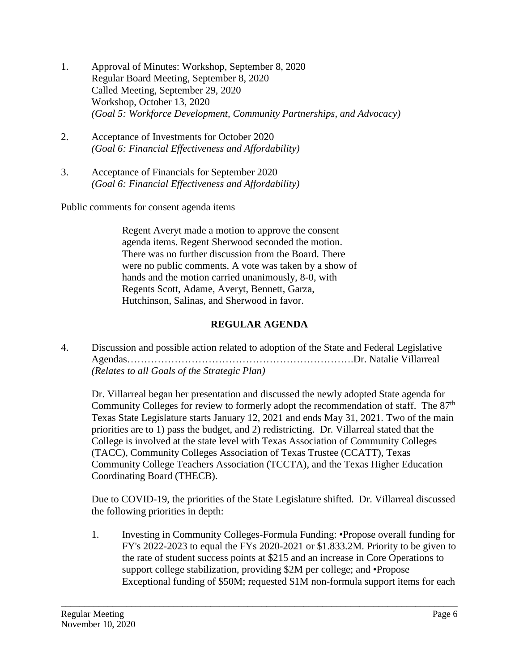- 1. Approval of Minutes: Workshop, September 8, 2020 Regular Board Meeting, September 8, 2020 Called Meeting, September 29, 2020 Workshop, October 13, 2020 *(Goal 5: Workforce Development, Community Partnerships, and Advocacy)*
- 2. Acceptance of Investments for October 2020 *(Goal 6: Financial Effectiveness and Affordability)*
- 3. Acceptance of Financials for September 2020 *(Goal 6: Financial Effectiveness and Affordability)*

Public comments for consent agenda items

Regent Averyt made a motion to approve the consent agenda items. Regent Sherwood seconded the motion. There was no further discussion from the Board. There were no public comments. A vote was taken by a show of hands and the motion carried unanimously, 8-0, with Regents Scott, Adame, Averyt, Bennett, Garza, Hutchinson, Salinas, and Sherwood in favor.

## **REGULAR AGENDA**

4. Discussion and possible action related to adoption of the State and Federal Legislative Agendas………………………………………………………….Dr. Natalie Villarreal *(Relates to all Goals of the Strategic Plan)*

Dr. Villarreal began her presentation and discussed the newly adopted State agenda for Community Colleges for review to formerly adopt the recommendation of staff. The 87<sup>th</sup> Texas State Legislature starts January 12, 2021 and ends May 31, 2021. Two of the main priorities are to 1) pass the budget, and 2) redistricting. Dr. Villarreal stated that the College is involved at the state level with Texas Association of Community Colleges (TACC), Community Colleges Association of Texas Trustee (CCATT), Texas Community College Teachers Association (TCCTA), and the Texas Higher Education Coordinating Board (THECB).

Due to COVID-19, the priorities of the State Legislature shifted. Dr. Villarreal discussed the following priorities in depth:

1. Investing in Community Colleges-Formula Funding: •Propose overall funding for FY's 2022-2023 to equal the FYs 2020-2021 or \$1.833.2M. Priority to be given to the rate of student success points at \$215 and an increase in Core Operations to support college stabilization, providing \$2M per college; and •Propose Exceptional funding of \$50M; requested \$1M non-formula support items for each

\_\_\_\_\_\_\_\_\_\_\_\_\_\_\_\_\_\_\_\_\_\_\_\_\_\_\_\_\_\_\_\_\_\_\_\_\_\_\_\_\_\_\_\_\_\_\_\_\_\_\_\_\_\_\_\_\_\_\_\_\_\_\_\_\_\_\_\_\_\_\_\_\_\_\_\_\_\_\_\_\_\_\_\_\_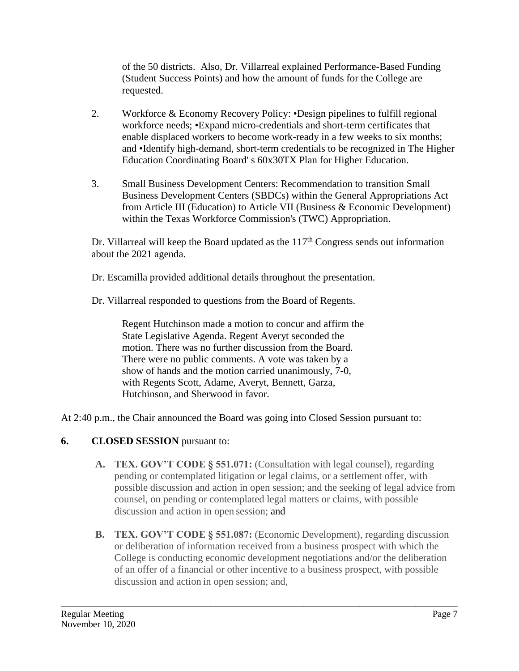of the 50 districts. Also, Dr. Villarreal explained Performance-Based Funding (Student Success Points) and how the amount of funds for the College are requested.

- 2. Workforce & Economy Recovery Policy: •Design pipelines to fulfill regional workforce needs; •Expand micro-credentials and short-term certificates that enable displaced workers to become work-ready in a few weeks to six months; and •Identify high-demand, short-term credentials to be recognized in The Higher Education Coordinating Board' s 60x30TX Plan for Higher Education.
- 3. Small Business Development Centers: Recommendation to transition Small Business Development Centers (SBDCs) within the General Appropriations Act from Article III (Education) to Article VII (Business & Economic Development) within the Texas Workforce Commission's (TWC) Appropriation.

Dr. Villarreal will keep the Board updated as the  $117<sup>th</sup>$  Congress sends out information about the 2021 agenda.

Dr. Escamilla provided additional details throughout the presentation.

Dr. Villarreal responded to questions from the Board of Regents.

Regent Hutchinson made a motion to concur and affirm the State Legislative Agenda. Regent Averyt seconded the motion. There was no further discussion from the Board. There were no public comments. A vote was taken by a show of hands and the motion carried unanimously, 7-0, with Regents Scott, Adame, Averyt, Bennett, Garza, Hutchinson, and Sherwood in favor.

At 2:40 p.m., the Chair announced the Board was going into Closed Session pursuant to:

# **6. CLOSED SESSION** pursuant to:

- **A. TEX. GOV'T CODE § 551.071:** (Consultation with legal counsel), regarding pending or contemplated litigation or legal claims, or a settlement offer, with possible discussion and action in open session; and the seeking of legal advice from counsel, on pending or contemplated legal matters or claims, with possible discussion and action in open session; and
- **B. TEX. GOV'T CODE § 551.087:** (Economic Development), regarding discussion or deliberation of information received from a business prospect with which the College is conducting economic development negotiations and/or the deliberation of an offer of a financial or other incentive to a business prospect, with possible discussion and action in open session; and,

\_\_\_\_\_\_\_\_\_\_\_\_\_\_\_\_\_\_\_\_\_\_\_\_\_\_\_\_\_\_\_\_\_\_\_\_\_\_\_\_\_\_\_\_\_\_\_\_\_\_\_\_\_\_\_\_\_\_\_\_\_\_\_\_\_\_\_\_\_\_\_\_\_\_\_\_\_\_\_\_\_\_\_\_\_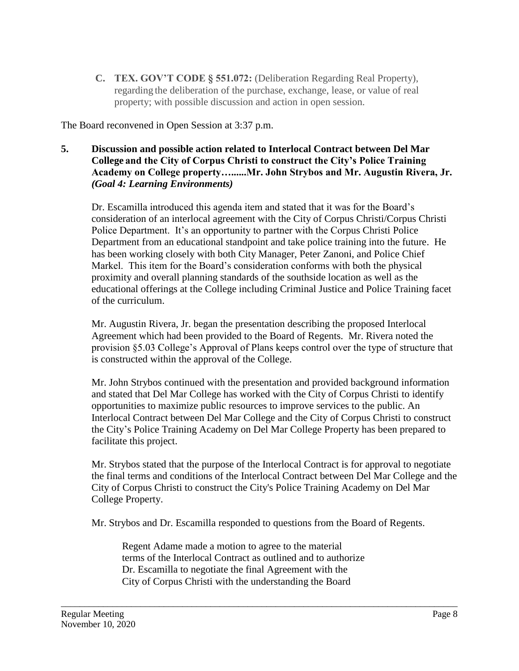**C. TEX. GOV'T CODE § 551.072:** (Deliberation Regarding Real Property), regarding the deliberation of the purchase, exchange, lease, or value of real property; with possible discussion and action in open session.

The Board reconvened in Open Session at 3:37 p.m.

## **5. Discussion and possible action related to Interlocal Contract between Del Mar College and the City of Corpus Christi to construct the City's Police Training Academy on College property…......Mr. John Strybos and Mr. Augustin Rivera, Jr.** *(Goal 4: Learning Environments)*

Dr. Escamilla introduced this agenda item and stated that it was for the Board's consideration of an interlocal agreement with the City of Corpus Christi/Corpus Christi Police Department. It's an opportunity to partner with the Corpus Christi Police Department from an educational standpoint and take police training into the future. He has been working closely with both City Manager, Peter Zanoni, and Police Chief Markel. This item for the Board's consideration conforms with both the physical proximity and overall planning standards of the southside location as well as the educational offerings at the College including Criminal Justice and Police Training facet of the curriculum.

Mr. Augustin Rivera, Jr. began the presentation describing the proposed Interlocal Agreement which had been provided to the Board of Regents. Mr. Rivera noted the provision §5.03 College's Approval of Plans keeps control over the type of structure that is constructed within the approval of the College.

Mr. John Strybos continued with the presentation and provided background information and stated that Del Mar College has worked with the City of Corpus Christi to identify opportunities to maximize public resources to improve services to the public. An Interlocal Contract between Del Mar College and the City of Corpus Christi to construct the City's Police Training Academy on Del Mar College Property has been prepared to facilitate this project.

Mr. Strybos stated that the purpose of the Interlocal Contract is for approval to negotiate the final terms and conditions of the Interlocal Contract between Del Mar College and the City of Corpus Christi to construct the City's Police Training Academy on Del Mar College Property.

Mr. Strybos and Dr. Escamilla responded to questions from the Board of Regents.

\_\_\_\_\_\_\_\_\_\_\_\_\_\_\_\_\_\_\_\_\_\_\_\_\_\_\_\_\_\_\_\_\_\_\_\_\_\_\_\_\_\_\_\_\_\_\_\_\_\_\_\_\_\_\_\_\_\_\_\_\_\_\_\_\_\_\_\_\_\_\_\_\_\_\_\_\_\_\_\_\_\_\_\_\_

Regent Adame made a motion to agree to the material terms of the Interlocal Contract as outlined and to authorize Dr. Escamilla to negotiate the final Agreement with the City of Corpus Christi with the understanding the Board